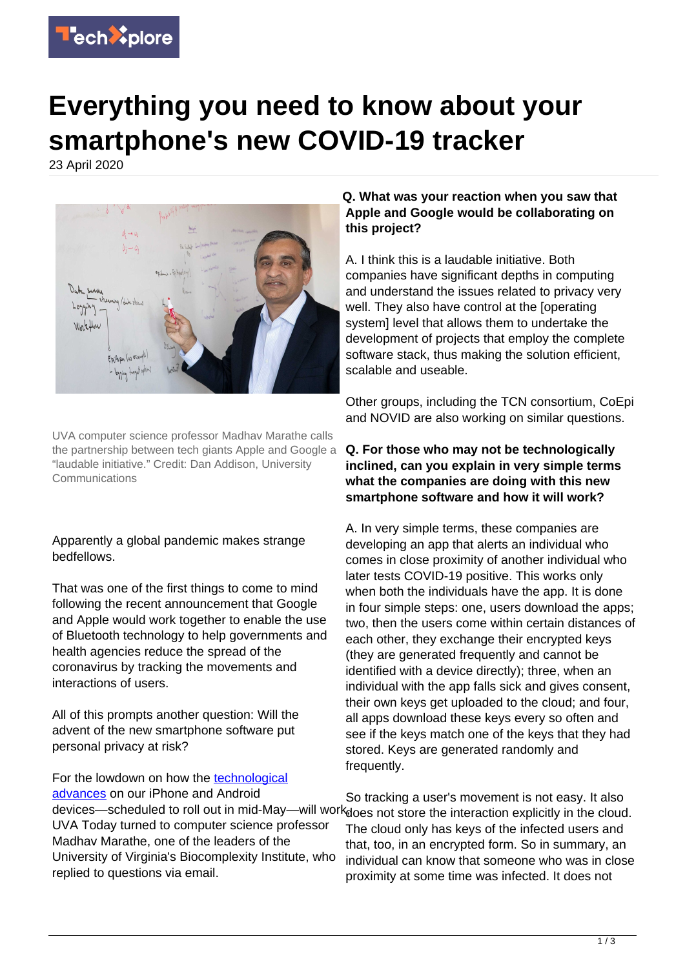

# **Everything you need to know about your smartphone's new COVID-19 tracker**

23 April 2020



UVA computer science professor Madhav Marathe calls the partnership between tech giants Apple and Google a "laudable initiative." Credit: Dan Addison, University **Communications** 

Apparently a global pandemic makes strange bedfellows.

That was one of the first things to come to mind following the recent announcement that Google and Apple would work together to enable the use of Bluetooth technology to help governments and health agencies reduce the spread of the coronavirus by tracking the movements and interactions of users.

All of this prompts another question: Will the advent of the new smartphone software put personal privacy at risk?

For the lowdown on how the [technological](https://techxplore.com/tags/technological+advances/) [advances](https://techxplore.com/tags/technological+advances/) on our iPhone and Android UVA Today turned to computer science professor Madhav Marathe, one of the leaders of the University of Virginia's Biocomplexity Institute, who replied to questions via email.

#### **Q. What was your reaction when you saw that Apple and Google would be collaborating on this project?**

A. I think this is a laudable initiative. Both companies have significant depths in computing and understand the issues related to privacy very well. They also have control at the [operating system] level that allows them to undertake the development of projects that employ the complete software stack, thus making the solution efficient, scalable and useable.

Other groups, including the TCN consortium, CoEpi and NOVID are also working on similar questions.

#### **Q. For those who may not be technologically inclined, can you explain in very simple terms what the companies are doing with this new smartphone software and how it will work?**

A. In very simple terms, these companies are developing an app that alerts an individual who comes in close proximity of another individual who later tests COVID-19 positive. This works only when both the individuals have the app. It is done in four simple steps: one, users download the apps; two, then the users come within certain distances of each other, they exchange their encrypted keys (they are generated frequently and cannot be identified with a device directly); three, when an individual with the app falls sick and gives consent, their own keys get uploaded to the cloud; and four, all apps download these keys every so often and see if the keys match one of the keys that they had stored. Keys are generated randomly and frequently.

devices—scheduled to roll out in mid-May—will work<sub>does not store the interaction explicitly in the cloud.</sub> So tracking a user's movement is not easy. It also The cloud only has keys of the infected users and that, too, in an encrypted form. So in summary, an individual can know that someone who was in close proximity at some time was infected. It does not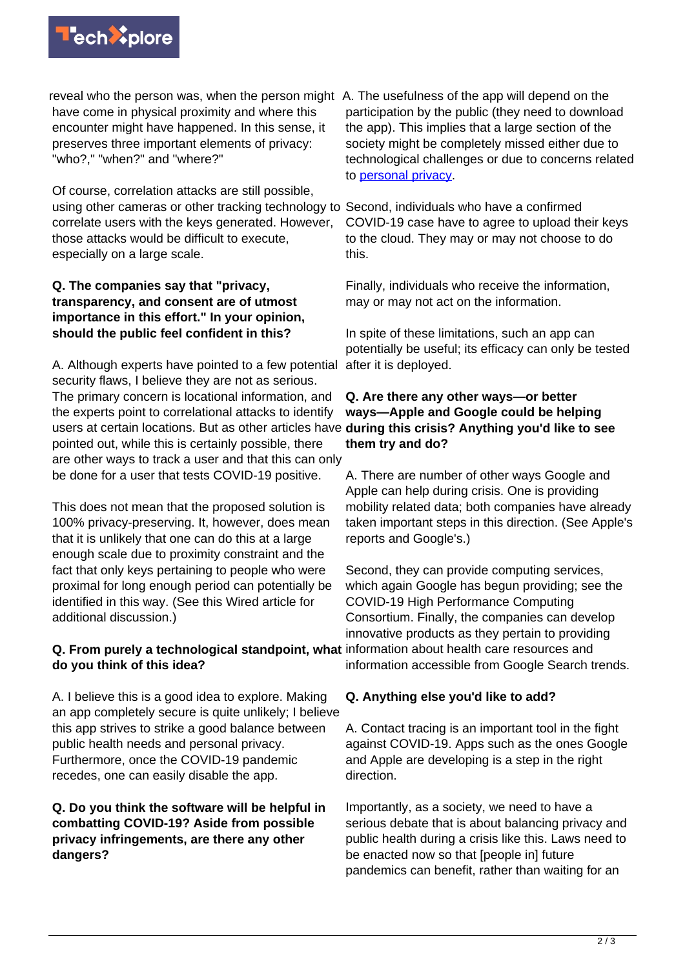

reveal who the person was, when the person might A. The usefulness of the app will depend on the have come in physical proximity and where this encounter might have happened. In this sense, it preserves three important elements of privacy: "who?," "when?" and "where?"

Of course, correlation attacks are still possible, using other cameras or other tracking technology to Second, individuals who have a confirmed correlate users with the keys generated. However, those attacks would be difficult to execute, especially on a large scale.

#### **Q. The companies say that "privacy, transparency, and consent are of utmost importance in this effort." In your opinion, should the public feel confident in this?**

A. Although experts have pointed to a few potential security flaws, I believe they are not as serious. The primary concern is locational information, and the experts point to correlational attacks to identify users at certain locations. But as other articles have during this crisis? Anything you'd like to see pointed out, while this is certainly possible, there are other ways to track a user and that this can only be done for a user that tests COVID-19 positive.

This does not mean that the proposed solution is 100% privacy-preserving. It, however, does mean that it is unlikely that one can do this at a large enough scale due to proximity constraint and the fact that only keys pertaining to people who were proximal for long enough period can potentially be identified in this way. (See this Wired article for additional discussion.)

#### **Q. From purely a technological standpoint, what** information about health care resources and **do you think of this idea?**

A. I believe this is a good idea to explore. Making an app completely secure is quite unlikely; I believe this app strives to strike a good balance between public health needs and personal privacy. Furthermore, once the COVID-19 pandemic recedes, one can easily disable the app.

#### **Q. Do you think the software will be helpful in combatting COVID-19? Aside from possible privacy infringements, are there any other dangers?**

participation by the public (they need to download the app). This implies that a large section of the society might be completely missed either due to technological challenges or due to concerns related to [personal privacy.](https://techxplore.com/tags/personal+privacy/)

COVID-19 case have to agree to upload their keys to the cloud. They may or may not choose to do this.

Finally, individuals who receive the information, may or may not act on the information.

In spite of these limitations, such an app can potentially be useful; its efficacy can only be tested after it is deployed.

## **Q. Are there any other ways—or better ways—Apple and Google could be helping them try and do?**

A. There are number of other ways Google and Apple can help during crisis. One is providing mobility related data; both companies have already taken important steps in this direction. (See Apple's reports and Google's.)

Second, they can provide computing services, which again Google has begun providing; see the COVID-19 High Performance Computing Consortium. Finally, the companies can develop innovative products as they pertain to providing information accessible from Google Search trends.

### **Q. Anything else you'd like to add?**

A. Contact tracing is an important tool in the fight against COVID-19. Apps such as the ones Google and Apple are developing is a step in the right direction.

Importantly, as a society, we need to have a serious debate that is about balancing privacy and public health during a crisis like this. Laws need to be enacted now so that [people in] future pandemics can benefit, rather than waiting for an